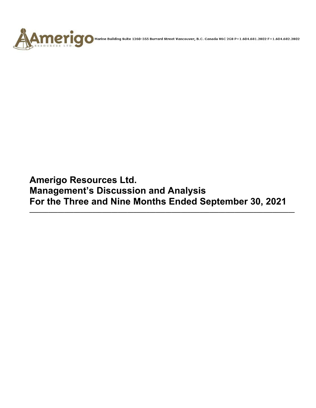

America Victor Building Suite 1260-355 Burrard Street Vancouver, B.C. Canada V6C 2G8 P+1.604.681.2802 F+1.604.682.2802

**Amerigo Resources Ltd. Management's Discussion and Analysis For the Three and Nine Months Ended September 30, 2021** 

**\_\_\_\_\_\_\_\_\_\_\_\_\_\_\_\_\_\_\_\_\_\_\_\_\_\_\_\_\_\_\_\_\_\_\_\_\_\_\_\_\_\_\_\_\_\_\_\_\_\_\_\_\_\_\_\_\_\_\_\_\_\_\_\_\_\_\_\_\_\_\_\_\_\_\_\_\_\_\_\_\_\_\_\_**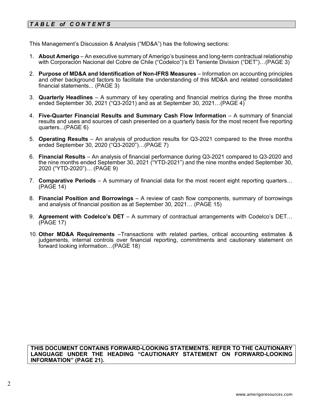This Management's Discussion & Analysis ("MD&A") has the following sections:

- 1. **About Amerigo**  An executive summary of Amerigo's business and long-term contractual relationship with Corporación Nacional del Cobre de Chile ("Codelco")'s El Teniente Division ("DET")…(PAGE 3)
- 2. **Purpose of MD&A and Identification of Non-IFRS Measures**  Information on accounting principles and other background factors to facilitate the understanding of this MD&A and related consolidated financial statements... (PAGE 3)
- 3. **Quarterly Headlines** A summary of key operating and financial metrics during the three months ended September 30, 2021 ("Q3-2021) and as at September 30, 2021…(PAGE 4)
- 4. **Five-Quarter Financial Results and Summary Cash Flow Information**  A summary of financial results and uses and sources of cash presented on a quarterly basis for the most recent five reporting quarters...(PAGE 6)
- 5. **Operating Results** An analysis of production results for Q3-2021 compared to the three months ended September 30, 2020 ("Q3-2020")…(PAGE 7)
- 6. **Financial Results**  An analysis of financial performance during Q3-2021 compared to Q3-2020 and the nine months ended September 30, 2021 ("YTD-2021") and the nine months ended September 30, 2020 ("YTD-2020")… (PAGE 9)
- 7. **Comparative Periods** A summary of financial data for the most recent eight reporting quarters… (PAGE 14)
- 8. **Financial Position and Borrowings**  A review of cash flow components, summary of borrowings and analysis of financial position as at September 30, 2021… (PAGE 15)
- 9. **Agreement with Codelco's DET** A summary of contractual arrangements with Codelco's DET… (PAGE 17)
- 10. **Other MD&A Requirements** –Transactions with related parties, critical accounting estimates & judgements, internal controls over financial reporting, commitments and cautionary statement on forward looking information…(PAGE 18)

#### **THIS DOCUMENT CONTAINS FORWARD-LOOKING STATEMENTS. REFER TO THE CAUTIONARY LANGUAGE UNDER THE HEADING "CAUTIONARY STATEMENT ON FORWARD-LOOKING INFORMATION" (PAGE 21).**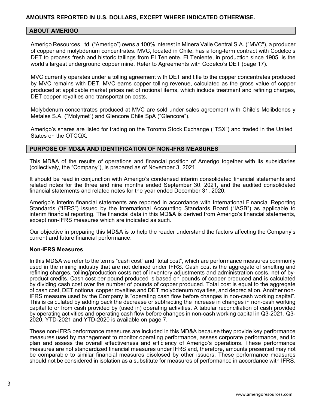#### **ABOUT AMERIGO**

Amerigo Resources Ltd. ("Amerigo") owns a 100% interest in Minera Valle Central S.A. ("MVC"), a producer of copper and molybdenum concentrates. MVC, located in Chile, has a long-term contract with Codelco's DET to process fresh and historic tailings from El Teniente. El Teniente, in production since 1905, is the world's largest underground copper mine. Refer to Agreements with Codelco's DET (page 17).

MVC currently operates under a tolling agreement with DET and title to the copper concentrates produced by MVC remains with DET. MVC earns copper tolling revenue, calculated as the gross value of copper produced at applicable market prices net of notional items, which include treatment and refining charges, DET copper royalties and transportation costs.

Molybdenum concentrates produced at MVC are sold under sales agreement with Chile's Molibdenos y Metales S.A. ("Molymet") and Glencore Chile SpA ("Glencore").

Amerigo's shares are listed for trading on the Toronto Stock Exchange ("TSX") and traded in the United States on the OTCQX.

#### **PURPOSE OF MD&A AND IDENTIFICATION OF NON-IFRS MEASURES**

This MD&A of the results of operations and financial position of Amerigo together with its subsidiaries (collectively, the "Company"), is prepared as of November 3, 2021.

It should be read in conjunction with Amerigo's condensed interim consolidated financial statements and related notes for the three and nine months ended September 30, 2021, and the audited consolidated financial statements and related notes for the year ended December 31, 2020.

Amerigo's interim financial statements are reported in accordance with International Financial Reporting Standards ("IFRS") issued by the International Accounting Standards Board ("IASB") as applicable to interim financial reporting. The financial data in this MD&A is derived from Amerigo's financial statements, except non-IFRS measures which are indicated as such.

Our objective in preparing this MD&A is to help the reader understand the factors affecting the Company's current and future financial performance.

#### **Non-IFRS Measures**

In this MD&A we refer to the terms "cash cost" and "total cost", which are performance measures commonly used in the mining industry that are not defined under IFRS. Cash cost is the aggregate of smelting and refining charges, tolling/production costs net of inventory adjustments and administration costs, net of byproduct credits. Cash cost per pound produced is based on pounds of copper produced and is calculated by dividing cash cost over the number of pounds of copper produced. Total cost is equal to the aggregate of cash cost, DET notional copper royalties and DET molybdenum royalties, and depreciation. Another non-IFRS measure used by the Company is "operating cash flow before changes in non-cash working capital". This is calculated by adding back the decrease or subtracting the increase in changes in non-cash working capital to or from cash provided by (used in) operating activities. A tabular reconciliation of cash provided by operating activities and operating cash flow before changes in non-cash working capital in Q3-2021, Q3- 2020, YTD-2021 and YTD-2020 is available on page 7.

These non-IFRS performance measures are included in this MD&A because they provide key performance measures used by management to monitor operating performance, assess corporate performance, and to plan and assess the overall effectiveness and efficiency of Amerigo's operations. These performance measures are not standardized financial measures under IFRS and, therefore, amounts presented may not be comparable to similar financial measures disclosed by other issuers. These performance measures should not be considered in isolation as a substitute for measures of performance in accordance with IFRS.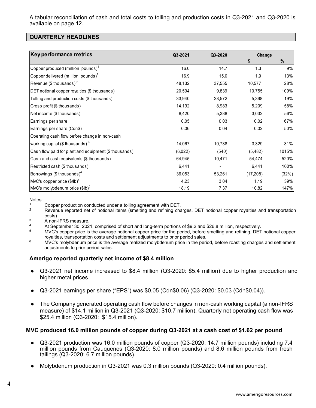A tabular reconciliation of cash and total costs to tolling and production costs in Q3-2021 and Q3-2020 is available on page 12.

## **QUARTERLY HEADLINES**

| Key performance metrics                               | Q3-2021 | Q3-2020 | Change    |       |
|-------------------------------------------------------|---------|---------|-----------|-------|
|                                                       |         |         | \$        | $\%$  |
| Copper produced (million pounds) <sup>1</sup>         | 16.0    | 14.7    | 1.3       | 9%    |
| Copper delivered (million pounds) <sup>1</sup>        | 16.9    | 15.0    | 1.9       | 13%   |
| Revenue (\$ thousands) $^2$                           | 48,132  | 37,555  | 10,577    | 28%   |
| DET notional copper royalties (\$ thousands)          | 20,594  | 9,839   | 10,755    | 109%  |
| Tolling and production costs (\$ thousands)           | 33,940  | 28,572  | 5,368     | 19%   |
| Gross profit (\$ thousands)                           | 14,192  | 8,983   | 5,209     | 58%   |
| Net income (\$ thousands)                             | 8,420   | 5,388   | 3,032     | 56%   |
| Earnings per share                                    | 0.05    | 0.03    | 0.02      | 67%   |
| Earnings per share (Cdn\$)                            | 0.06    | 0.04    | 0.02      | 50%   |
| Operating cash flow before change in non-cash         |         |         |           |       |
| working capital (\$ thous ands) $3$                   | 14,067  | 10,738  | 3,329     | 31%   |
| Cash flow paid for plant and equipment (\$ thousands) | (6,022) | (540)   | (5,482)   | 1015% |
| Cash and cash equivalents (\$ thousands)              | 64,945  | 10,471  | 54,474    | 520%  |
| Restricted cash (\$ thousands)                        | 6,441   |         | 6,441     | 100%  |
| Borrowings (\$ thousands) <sup>4</sup>                | 36,053  | 53,261  | (17, 208) | (32%) |
| MVC's copper price $($/lb)^5$                         | 4.23    | 3.04    | 1.19      | 39%   |
| MVC's molybdenum price (\$lb) <sup>6</sup>            | 18.19   | 7.37    | 10.82     | 147%  |

Notes:

1 Copper production conducted under a tolling agreement with DET.<br>2 Revenue reported net of notional items (smelting and refining charges, DET notional copper royalties and transportation

costs).<br>3 A non-IFRS measure.<br>4 At September 30, 2021, comprised of short and long-term portions of \$9.2 and \$26.8 million, respectively.

<sup>5</sup> MVC's copper price is the average notional copper price for the period, before smelting and refining, DET notional copper royalties, transportation costs and settlement adjustments to prior period sales.<br><sup>6</sup> MVC's molybdenum price is the average realized molybdenum price in the period, before roasting charges and settlement

adjustments to prior period sales.

## **Amerigo reported quarterly net income of \$8.4 million**

- Q3-2021 net income increased to \$8.4 million (Q3-2020: \$5.4 million) due to higher production and higher metal prices.
- Q3-2021 earnings per share ("EPS") was \$0.05 (Cdn\$0.06) (Q3-2020: \$0.03 (Cdn\$0.04)).
- The Company generated operating cash flow before changes in non-cash working capital (a non-IFRS measure) of \$14.1 million in Q3-2021 (Q3-2020: \$10.7 million). Quarterly net operating cash flow was \$25.4 million (Q3-2020: \$15.4 million).

## **MVC produced 16.0 million pounds of copper during Q3-2021 at a cash cost of \$1.62 per pound**

- Q3-2021 production was 16.0 million pounds of copper (Q3-2020: 14.7 million pounds) including 7.4 million pounds from Cauquenes (Q3-2020: 8.0 million pounds) and 8.6 million pounds from fresh tailings (Q3-2020: 6.7 million pounds).
- Molybdenum production in Q3-2021 was 0.3 million pounds (Q3-2020: 0.4 million pounds).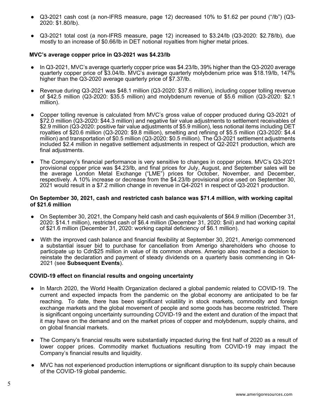- Q3-2021 cash cost (a non-IFRS measure, page 12) decreased 10% to \$1.62 per pound ("/lb") (Q3-2020: \$1.80/lb).
- Q3-2021 total cost (a non-IFRS measure, page 12) increased to \$3.24/lb (Q3-2020: \$2.78/lb), due mostly to an increase of \$0.66/lb in DET notional royalties from higher metal prices.

#### **MVC's average copper price in Q3-2021 was \$4.23/lb**

- In Q3-2021, MVC's average quarterly copper price was \$4.23/lb, 39% higher than the Q3-2020 average quarterly copper price of \$3.04/lb. MVC's average quarterly molybdenum price was \$18.19/lb, 147% higher than the Q3-2020 average quarterly price of \$7.37/lb.
- Revenue during Q3-2021 was \$48.1 million (Q3-2020: \$37.6 million), including copper tolling revenue of \$42.5 million (Q3-2020: \$35.5 million) and molybdenum revenue of \$5.6 million (Q3-2020: \$2.1 million).
- Copper tolling revenue is calculated from MVC's gross value of copper produced during Q3-2021 of \$72.0 million (Q3-2020: \$44.3 million) and negative fair value adjustments to settlement receivables of \$2.9 million (Q3-2020: positive fair value adjustments of \$5.9 million), less notional items including DET royalties of \$20.6 million (Q3-2020: \$9.8 million), smelting and refining of \$5.5 million (Q3-2020: \$4.4 million) and transportation of \$0.5 million (Q3-2020: \$0.5 million). The Q3-2021 settlement adjustments included \$2.4 million in negative settlement adjustments in respect of Q2-2021 production, which are final adjustments.
- The Company's financial performance is very sensitive to changes in copper prices. MVC's Q3-2021 provisional copper price was \$4.23/lb, and final prices for July, August, and September sales will be the average London Metal Exchange ("LME") prices for October, November, and December, respectively. A 10% increase or decrease from the \$4.23/lb provisional price used on September 30, 2021 would result in a \$7.2 million change in revenue in Q4-2021 in respect of Q3-2021 production.

#### **On September 30, 2021, cash and restricted cash balance was \$71.4 million, with working capital of \$21.6 million**

- On September 30, 2021, the Company held cash and cash equivalents of \$64.9 million (December 31, 2020: \$14.1 million), restricted cash of \$6.4 million (December 31, 2020: \$nil) and had working capital of \$21.6 million (December 31, 2020: working capital deficiency of \$6.1 million).
- With the improved cash balance and financial flexibility at September 30, 2021, Amerigo commenced a substantial issuer bid to purchase for cancellation from Amerigo shareholders who choose to participate up to Cdn\$25 million in value of its common shares. Amerigo also reached a decision to reinstate the declaration and payment of steady dividends on a quarterly basis commencing in Q4- 2021 (see **Subsequent Events**).

#### **COVID-19 effect on financial results and ongoing uncertainty**

- In March 2020, the World Health Organization declared a global pandemic related to COVID-19. The current and expected impacts from the pandemic on the global economy are anticipated to be far reaching. To date, there has been significant volatility in stock markets, commodity and foreign exchange markets and the global movement of people and some goods has become restricted. There is significant ongoing uncertainty surrounding COVID-19 and the extent and duration of the impact that it may have on the demand and on the market prices of copper and molybdenum, supply chains, and on global financial markets.
- The Company's financial results were substantially impacted during the first half of 2020 as a result of lower copper prices. Commodity market fluctuations resulting from COVID-19 may impact the Company's financial results and liquidity.
- MVC has not experienced production interruptions or significant disruption to its supply chain because of the COVID-19 global pandemic.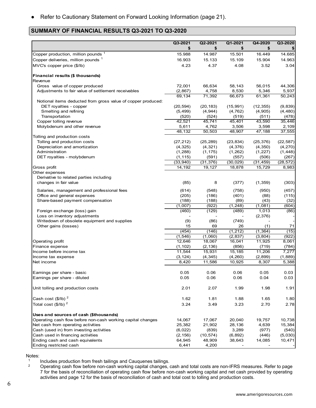● Refer to Cautionary Statement on Forward Looking Information (page 21).

## **SUMMARY OF FINANCIAL RESULTS Q3-2021 TO Q3-2020**

|                                                              | Q3-2021   | Q2-2021   | Q1-2021<br>\$ | Q4-2020<br>\$ | Q3-2020   |
|--------------------------------------------------------------|-----------|-----------|---------------|---------------|-----------|
|                                                              | \$        | \$        |               |               | \$        |
| Copper production, million pounds 1                          | 15.988    | 14.987    | 15.501        | 16.449        | 14.685    |
| Copper deliveries, million pounds 1                          | 16.903    | 15.133    | 15.109        | 15.904        | 14.963    |
| MVC's copper price (\$/lb)                                   | 4.23      | 4.37      | 4.08          | 3.52          | 3.04      |
| Financial results (\$ thousands)                             |           |           |               |               |           |
| Revenue                                                      |           |           |               |               |           |
| Gross value of copper produced                               | 72,001    | 66,634    | 58,143        | 56,015        | 44,306    |
| Adjustments to fair value of settlement receivables          | (2, 867)  | 4,758     | 8,530         | 5,346         | 5,937     |
|                                                              | 69,134    | 71,392    | 66,673        | 61,361        | 50,243    |
| Notional items deducted from gross value of copper produced: |           |           |               |               |           |
| DET royalties - copper                                       | (20, 594) | (20, 183) | (15, 991)     | (12, 355)     | (9,839)   |
| Smelting and refining                                        | (5, 499)  | (4,944)   | (4, 762)      | (4,905)       | (4, 480)  |
| Transportation                                               | (520)     | (524)     | (519)         | (511)         | (478)     |
| Copper tolling revenue                                       | 42,521    | 45,741    | 45,401        | 43,590        | 35,446    |
| Molybdenum and other revenue                                 | 5,611     | 4,762     | 3,506         | 3,598         | 2,109     |
|                                                              | 48,132    | 50,503    | 48,907        | 47,188        | 37,555    |
| Tolling and production costs                                 |           |           |               |               |           |
| Tolling and production costs                                 | (27, 212) | (25, 289) | (23, 834)     | (25, 376)     | (22, 587) |
| Depreciation and amortization                                | (4, 325)  | (4, 321)  | (4,376)       | (4, 350)      | (4,270)   |
| Administration                                               | (1,288)   | (1, 175)  | (1,262)       | (1, 227)      | (1, 448)  |
| DET royalties - molybdenum                                   | (1, 115)  | (591)     | (557)         | (506)         | (267)     |
|                                                              | (33,940)  | (31, 376) | (30, 029)     | (31, 459)     | (28, 572) |
| Gross profit                                                 | 14,192    | 19,127    | 18,878        | 15,729        | 8,983     |
| Other expenses                                               |           |           |               |               |           |
| Derivative to related parties including                      |           |           |               |               |           |
| changes in fair value                                        | (85)      | 8         | (377)         | (1, 359)      | (303)     |
|                                                              |           |           |               |               |           |
| Salaries, management and professional fees                   | (614)     | (548)     | (758)         | (950)         | (457)     |
| Office and general expenses                                  | (205)     | (186)     | (401)         | (88)          | (115)     |
| Share-based payment compensation                             | (188)     | (188)     | (89)          | (43)          | (32)      |
|                                                              | (1,007)   | (922)     | (1, 248)      | (1,081)       | (604)     |
| Foreign exchange (loss) gain                                 | (460)     | (129)     | (489)         | 1,013         | (86)      |
| Loss on inventory adjustments                                |           |           |               | (2,376)       |           |
| Writedown of obsolete equipment and supplies                 | (9)       | (86)      | (749)         |               |           |
| Other gains (losses)                                         | 15        | 69        | 26            | (1)           | 71        |
|                                                              | (454)     | (146)     | (1, 212)      | (1, 364)      | (15)      |
|                                                              | (1, 546)  | (1,060)   | (2, 837)      | (3,804)       | (922)     |
| Operating profit                                             | 12,646    | 18,067    | 16,041        | 11,925        | 8,061     |
| Finance expense                                              | (1, 102)  | (2, 136)  | (856)         | (719)         | (784)     |
| Income before income tax                                     | 11,544    | 15,931    | 15,185        | 11,206        | 7,277     |
| Income tax expense                                           | (3, 124)  | (4, 345)  | (4, 260)      | (2,899)       | (1,889)   |
| Net income                                                   | 8,420     | 11,586    | 10,925        | 8,307         | 5,388     |
|                                                              |           |           |               |               |           |
| Earnings per share - basic                                   | 0.05      | 0.06      | 0.06          | 0.05          | 0.03      |
| Earnings per share - diluted                                 | 0.05      | 0.06      | 0.06          | 0.04          | 0.03      |
| Unit tolling and production costs                            | 2.01      | 2.07      | 1.99          | 1.98          | 1.91      |
| Cash cost (\$/lb) <sup>2</sup>                               | 1.62      | 1.81      | 1.88          | 1.65          | 1.80      |
| Total cost $($/lb)^2$                                        | 3.24      |           |               | 2.70          | 2.78      |
|                                                              |           | 3.49      | 3.23          |               |           |
| Uses and sources of cash (\$thousands)                       |           |           |               |               |           |
| Operating cash flow before non-cash working capital changes  | 14,067    | 17,067    | 20,040        | 19,757        | 10,738    |
| Net cash from operating activities                           | 25,382    | 21,902    | 28,136        | 4,639         | 15,384    |
| Cash (used in) from investing activities                     | (6,022)   | (839)     | 3,289         | (977)         | (540)     |
| Cash used in financing activities                            | (2, 156)  | (10, 574) | (6, 892)      | (446)         | (5,030)   |
| Ending cash and cash equivalents                             | 64,945    | 48,909    | 38,643        | 14,085        | 10,471    |
| Ending restricted cash                                       | 6,441     | 4,200     |               |               |           |

Notes:

- $1$  Includes production from fresh tailings and Cauquenes tailings.<br>  $2$  Operating cash flow before non-cash working capital changes
- 2 Operating cash flow before non-cash working capital changes, cash and total costs are non-IFRS measures. Refer to page 7 for the basis of reconciliation of operating cash flow before non-cash working capital and net cash provided by operating activities and page 12 for the basis of reconciliation of cash and total cost to tolling and production costs.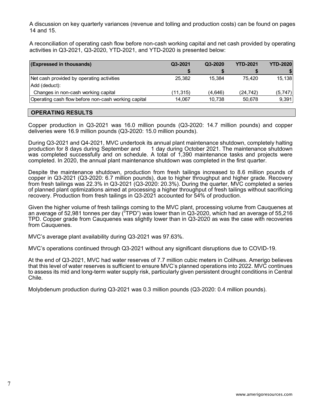A discussion on key quarterly variances (revenue and tolling and production costs) can be found on pages 14 and 15.

A reconciliation of operating cash flow before non-cash working capital and net cash provided by operating activities in Q3-2021, Q3-2020, YTD-2021, and YTD-2020 is presented below:

| Q3-2021  | Q3-2020 | <b>YTD-2021</b> | <b>YTD-2020</b> |
|----------|---------|-----------------|-----------------|
|          |         |                 |                 |
| 25.382   | 15.384  | 75.420          | 15,138          |
|          |         |                 |                 |
| (11,315) | (4,646) | (24, 742)       | (5, 747)        |
| 14.067   | 10.738  | 50.678          | 9,391           |
|          |         |                 |                 |

#### **OPERATING RESULTS**

Copper production in Q3-2021 was 16.0 million pounds (Q3-2020: 14.7 million pounds) and copper deliveries were 16.9 million pounds (Q3-2020: 15.0 million pounds).

During Q3-2021 and Q4-2021, MVC undertook its annual plant maintenance shutdown, completely halting 1 day during October 2021. The maintenance shutdown was completed successfully and on schedule. A total of 1,390 maintenance tasks and projects were completed. In 2020, the annual plant maintenance shutdown was completed in the first quarter.

Despite the maintenance shutdown, production from fresh tailings increased to 8.6 million pounds of copper in Q3-2021 (Q3-2020: 6.7 million pounds), due to higher throughput and higher grade. Recovery from fresh tailings was 22.3% in Q3-2021 (Q3-2020: 20.3%). During the quarter, MVC completed a series of planned plant optimizations aimed at processing a higher throughput of fresh tailings without sacrificing recovery. Production from fresh tailings in Q3-2021 accounted for 54% of production.

Given the higher volume of fresh tailings coming to the MVC plant, processing volume from Cauquenes at an average of 52,981 tonnes per day ("TPD") was lower than in Q3-2020, which had an average of 55,216 TPD. Copper grade from Cauquenes was slightly lower than in Q3-2020 as was the case with recoveries from Cauquenes.

MVC's average plant availability during Q3-2021 was 97.63%.

MVC's operations continued through Q3-2021 without any significant disruptions due to COVID-19.

At the end of Q3-2021, MVC had water reserves of 7.7 million cubic meters in Colihues. Amerigo believes that this level of water reserves is sufficient to ensure MVC's planned operations into 2022. MVC continues to assess its mid and long-term water supply risk, particularly given persistent drought conditions in Central Chile.

Molybdenum production during Q3-2021 was 0.3 million pounds (Q3-2020: 0.4 million pounds).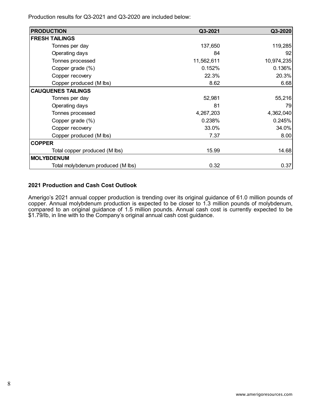Production results for Q3-2021 and Q3-2020 are included below:

| <b>PRODUCTION</b>                 | Q3-2021    | Q3-2020    |
|-----------------------------------|------------|------------|
| <b>FRESH TAILINGS</b>             |            |            |
| Tonnes per day                    | 137,650    | 119,285    |
| Operating days                    | 84         | 92         |
| Tonnes processed                  | 11,562,611 | 10,974,235 |
| Copper grade (%)                  | 0.152%     | 0.136%     |
| Copper recovery                   | 22.3%      | 20.3%      |
| Copper produced (M lbs)           | 8.62       | 6.68       |
| <b>CAUQUENES TAILINGS</b>         |            |            |
| Tonnes per day                    | 52,981     | 55,216     |
| Operating days                    | 81         | 79         |
| Tonnes processed                  | 4,267,203  | 4,362,040  |
| Copper grade (%)                  | 0.238%     | 0.245%     |
| Copper recovery                   | 33.0%      | 34.0%      |
| Copper produced (M lbs)           | 7.37       | 8.00       |
| <b>COPPER</b>                     |            |            |
| Total copper produced (M lbs)     | 15.99      | 14.68      |
| <b>IMOLYBDENUM</b>                |            |            |
| Total molybdenum produced (M lbs) | 0.32       | 0.37       |

## **2021 Production and Cash Cost Outlook**

Amerigo's 2021 annual copper production is trending over its original guidance of 61.0 million pounds of copper. Annual molybdenum production is expected to be closer to 1.3 million pounds of molybdenum, compared to an original guidance of 1.5 million pounds. Annual cash cost is currently expected to be \$1.79/lb, in line with to the Company's original annual cash cost guidance.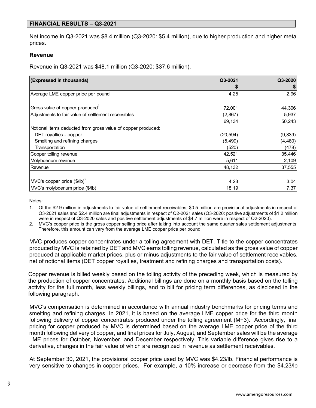### **FINANCIAL RESULTS – Q3-2021**

Net income in Q3-2021 was \$8.4 million (Q3-2020: \$5.4 million), due to higher production and higher metal prices.

### **Revenue**

Revenue in Q3-2021 was \$48.1 million (Q3-2020: \$37.6 million).

| (Expressed in thousands)                                     | Q3-2021   | Q3-2020  |
|--------------------------------------------------------------|-----------|----------|
|                                                              | \$        |          |
| Average LME copper price per pound                           | 4.25      | 2.96     |
|                                                              |           |          |
| Gross value of copper produced <sup>1</sup>                  | 72,001    | 44,306   |
| Adjustments to fair value of settlement receivables          | (2,867)   | 5,937    |
|                                                              | 69,134    | 50,243   |
| Notional items deducted from gross value of copper produced: |           |          |
| DET royalties - copper                                       | (20, 594) | (9, 839) |
| Smelting and refining charges                                | (5, 499)  | (4, 480) |
| Transportation                                               | (520)     | (478)    |
| Copper tolling revenue                                       | 42,521    | 35,446   |
| Molybdenum revenue                                           | 5,611     | 2,109    |
| Revenue                                                      | 48,132    | 37,555   |
|                                                              |           |          |
| MVC's copper price (\$/lb) <sup>2</sup>                      | 4.23      | 3.04     |
| MVC's molybdenum price (\$/lb)                               | 18.19     | 7.37     |

Notes:

- 1. Of the \$2.9 million in adjustments to fair value of settlement receivables, \$0.5 million are provisional adjustments in respect of Q3-2021 sales and \$2.4 million are final adjustments in respect of Q2-2021 sales (Q3-2020: positive adjustments of \$1.2 million were in respect of Q3-2020 sales and positive settlement adjustments of \$4.7 million were in respect of Q2-2020).
- 2. MVC's copper price is the gross copper selling price after taking into account the same quarter sales settlement adjustments. Therefore, this amount can vary from the average LME copper price per pound.

MVC produces copper concentrates under a tolling agreement with DET. Title to the copper concentrates produced by MVC is retained by DET and MVC earns tolling revenue, calculated as the gross value of copper produced at applicable market prices, plus or minus adjustments to the fair value of settlement receivables, net of notional items (DET copper royalties, treatment and refining charges and transportation costs).

Copper revenue is billed weekly based on the tolling activity of the preceding week, which is measured by the production of copper concentrates. Additional billings are done on a monthly basis based on the tolling activity for the full month, less weekly billings, and to bill for pricing term differences, as disclosed in the following paragraph.

MVC's compensation is determined in accordance with annual industry benchmarks for pricing terms and smelting and refining charges. In 2021, it is based on the average LME copper price for the third month following delivery of copper concentrates produced under the tolling agreement (M+3). Accordingly, final pricing for copper produced by MVC is determined based on the average LME copper price of the third month following delivery of copper, and final prices for July, August, and September sales will be the average LME prices for October, November, and December respectively. This variable difference gives rise to a derivative, changes in the fair value of which are recognized in revenue as settlement receivables.

At September 30, 2021, the provisional copper price used by MVC was \$4.23/lb. Financial performance is very sensitive to changes in copper prices. For example, a 10% increase or decrease from the \$4.23/lb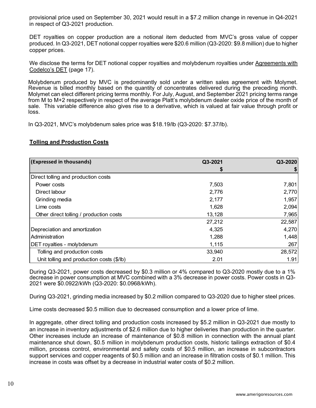provisional price used on September 30, 2021 would result in a \$7.2 million change in revenue in Q4-2021 in respect of Q3-2021 production.

DET royalties on copper production are a notional item deducted from MVC's gross value of copper produced. In Q3-2021, DET notional copper royalties were \$20.6 million (Q3-2020: \$9.8 million) due to higher copper prices.

We disclose the terms for DET notional copper royalties and molybdenum royalties under Agreements with Codelco's DET (page 17).

Molybdenum produced by MVC is predominantly sold under a written sales agreement with Molymet. Revenue is billed monthly based on the quantity of concentrates delivered during the preceding month. Molymet can elect different pricing terms monthly. For July, August, and September 2021 pricing terms range from M to M+2 respectively in respect of the average Platt's molybdenum dealer oxide price of the month of sale. This variable difference also gives rise to a derivative, which is valued at fair value through profit or loss.

In Q3-2021, MVC's molybdenum sales price was \$18.19/lb (Q3-2020: \$7.37/lb).

## **Tolling and Production Costs**

| (Expressed in thousands)                  | Q3-2021 | Q3-2020 |
|-------------------------------------------|---------|---------|
|                                           |         |         |
| Direct tolling and production costs       |         |         |
| Power costs                               | 7,503   | 7,801   |
| Direct labour                             | 2,776   | 2,770   |
| Grinding media                            | 2,177   | 1,957   |
| Lime costs                                | 1,628   | 2,094   |
| Other direct tolling / production costs   | 13,128  | 7,965   |
|                                           | 27,212  | 22,587  |
| Depreciation and amortization             | 4,325   | 4,270   |
| Administration                            | 1,288   | 1,448   |
| DET royalties - molybdenum                | 1,115   | 267     |
| Tolling and production costs              | 33,940  | 28,572  |
| Unit tolling and production costs (\$/lb) | 2.01    | 1.91    |

During Q3-2021, power costs decreased by \$0.3 million or 4% compared to Q3-2020 mostly due to a 1% decrease in power consumption at MVC combined with a 3% decrease in power costs. Power costs in Q3- 2021 were \$0.0922/kWh (Q3-2020: \$0.0968/kWh).

During Q3-2021, grinding media increased by \$0.2 million compared to Q3-2020 due to higher steel prices.

Lime costs decreased \$0.5 million due to decreased consumption and a lower price of lime.

In aggregate, other direct tolling and production costs increased by \$5.2 million in Q3-2021 due mostly to an increase in inventory adjustments of \$2.6 million due to higher deliveries than production in the quarter. Other increases include an increase of maintenance of \$0.8 million in connection with the annual plant maintenance shut down, \$0.5 million in molybdenum production costs, historic tailings extraction of \$0.4 million, process control, environmental and safety costs of \$0.5 million, an increase in subcontractors support services and copper reagents of \$0.5 million and an increase in filtration costs of \$0.1 million. This increase in costs was offset by a decrease in industrial water costs of \$0.2 million.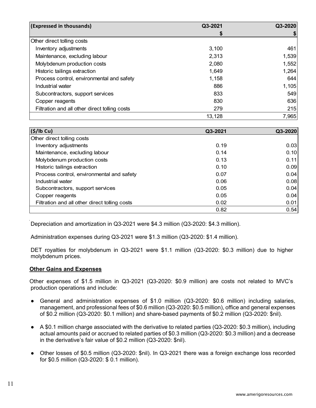| (Expressed in thousands)                      | Q3-2021 | Q3-2020 |
|-----------------------------------------------|---------|---------|
|                                               |         |         |
| Other direct tolling costs                    |         |         |
| Inventory adjustments                         | 3,100   | 461     |
| Maintenance, excluding labour                 | 2,313   | 1,539   |
| Molybdenum production costs                   | 2,080   | 1,552   |
| Historic tailings extraction                  | 1,649   | 1,264   |
| Process control, environmental and safety     | 1,158   | 644     |
| Industrial water                              | 886     | 1,105   |
| Subcontractors, support services              | 833     | 549     |
| Copper reagents                               | 830     | 636     |
| Filtration and all other direct tolling costs | 279     | 215     |
|                                               | 13,128  | 7,965   |

| (S/lb Cu)                                     | Q3-2021 | Q3-2020 |
|-----------------------------------------------|---------|---------|
| Other direct tolling costs                    |         |         |
| Inventory adjustments                         | 0.19    | 0.03    |
| Maintenance, excluding labour                 | 0.14    | 0.10    |
| Molybdenum production costs                   | 0.13    | 0.11    |
| Historic tailings extraction                  | 0.10    | 0.09    |
| Process control, environmental and safety     | 0.07    | 0.04    |
| Industrial water                              | 0.06    | 0.08    |
| Subcontractors, support services              | 0.05    | 0.04    |
| Copper reagents                               | 0.05    | 0.04    |
| Filtration and all other direct tolling costs | 0.02    | 0.01    |
|                                               | 0.82    | 0.54    |

Depreciation and amortization in Q3-2021 were \$4.3 million (Q3-2020: \$4.3 million).

Administration expenses during Q3-2021 were \$1.3 million (Q3-2020: \$1.4 million).

DET royalties for molybdenum in Q3-2021 were \$1.1 million (Q3-2020: \$0.3 million) due to higher molybdenum prices.

#### **Other Gains and Expenses**

Other expenses of \$1.5 million in Q3-2021 (Q3-2020: \$0.9 million) are costs not related to MVC's production operations and include:

- General and administration expenses of \$1.0 million (Q3-2020: \$0.6 million) including salaries, management, and professional fees of \$0.6 million (Q3-2020: \$0.5 million), office and general expenses of \$0.2 million (Q3-2020: \$0.1 million) and share-based payments of \$0.2 million (Q3-2020: \$nil).
- A \$0.1 million charge associated with the derivative to related parties (Q3-2020: \$0.3 million), including actual amounts paid or accrued to related parties of \$0.3 million (Q3-2020: \$0.3 million) and a decrease in the derivative's fair value of \$0.2 million (Q3-2020: \$nil).
- Other losses of \$0.5 million (Q3-2020: \$nil). In Q3-2021 there was a foreign exchange loss recorded for \$0.5 million (Q3-2020: \$ 0.1 million).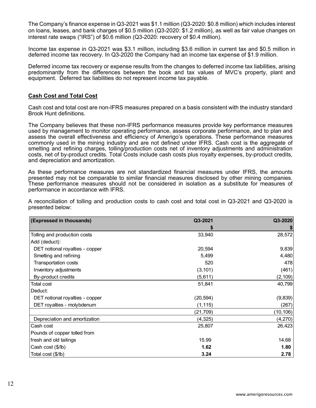The Company's finance expense in Q3-2021 was \$1.1 million (Q3-2020: \$0.8 million) which includes interest on loans, leases, and bank charges of \$0.5 million (Q3-2020: \$1.2 million), as well as fair value changes on interest rate swaps ("IRS") of \$0.6 million (Q3-2020: recovery of \$0.4 million).

Income tax expense in Q3-2021 was \$3.1 million, including \$3.6 million in current tax and \$0.5 million in deferred income tax recovery. In Q3-2020 the Company had an income tax expense of \$1.9 million.

Deferred income tax recovery or expense results from the changes to deferred income tax liabilities, arising predominantly from the differences between the book and tax values of MVC's property, plant and equipment. Deferred tax liabilities do not represent income tax payable.

### **Cash Cost and Total Cost**

Cash cost and total cost are non-IFRS measures prepared on a basis consistent with the industry standard Brook Hunt definitions.

The Company believes that these non-IFRS performance measures provide key performance measures used by management to monitor operating performance, assess corporate performance, and to plan and assess the overall effectiveness and efficiency of Amerigo's operations. These performance measures commonly used in the mining industry and are not defined under IFRS. Cash cost is the aggregate of smelting and refining charges, tolling/production costs net of inventory adjustments and administration costs, net of by-product credits. Total Costs include cash costs plus royalty expenses, by-product credits, and depreciation and amortization.

As these performance measures are not standardized financial measures under IFRS, the amounts presented may not be comparable to similar financial measures disclosed by other mining companies. These performance measures should not be considered in isolation as a substitute for measures of performance in accordance with IFRS.

A reconciliation of tolling and production costs to cash cost and total cost in Q3-2021 and Q3-2020 is presented below:

| (Expressed in thousands)        | Q3-2021   | Q3-2020  |
|---------------------------------|-----------|----------|
|                                 | S         |          |
| Tolling and production costs    | 33,940    | 28,572   |
| Add (deduct):                   |           |          |
| DET notional royalties - copper | 20,594    | 9,839    |
| Smelting and refining           | 5,499     | 4,480    |
| Transportation costs            | 520       | 478      |
| Inventory adjustments           | (3, 101)  | (461)    |
| By-product credits              | (5,611)   | (2, 109) |
| Total cost                      | 51,841    | 40,799   |
| Deduct:                         |           |          |
| DET notional royalties - copper | (20, 594) | (9,839)  |
| DET royalties - molybdenum      | (1, 115)  | (267)    |
|                                 | (21, 709) | (10,106) |
| Depreciation and amortization   | (4, 325)  | (4, 270) |
| Cash cost                       | 25,807    | 26,423   |
| Pounds of copper tolled from    |           |          |
| fresh and old tailings          | 15.99     | 14.68    |
| Cash cost (\$/lb)               | 1.62      | 1.80     |
| Total cost (\$/lb)              | 3.24      | 2.78     |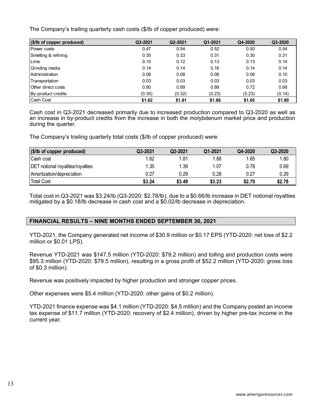The Company's trailing quarterly cash costs (\$/lb of copper produced) were:

| (\$/lb of copper produced) | Q3-2021 | Q2-2021 | Q1-2021 | Q4-2020 | Q3-2020 |
|----------------------------|---------|---------|---------|---------|---------|
| Power costs                | 0.47    | 0.54    | 0.52    | 0.50    | 0.54    |
| Smelting & refining        | 0.35    | 0.33    | 0.31    | 0.30    | 0.31    |
| Lime                       | 0.10    | 0.12    | 0.13    | 0.13    | 0.14    |
| Grinding media             | 0.14    | 0.14    | 0.16    | 0.14    | 0.14    |
| Administration             | 0.08    | 0.08    | 0.08    | 0.06    | 0.10    |
| Transportation             | 0.03    | 0.03    | 0.03    | 0.03    | 0.03    |
| <b>Other direct costs</b>  | 0.80    | 0.89    | 0.88    | 0.72    | 0.68    |
| By-product credits         | (0.35)  | (0.32)  | (0.23)  | (0.23)  | (0.14)  |
| Cash Cost                  | \$1.62  | \$1.81  | \$1.88  | \$1.65  | \$1.80  |

Cash cost in Q3-2021 decreased primarily due to increased production compared to Q3-2020 as well as an increase in by-product credits from the increase in both the molybdenum market price and production during the quarter.

The Company's trailing quarterly total costs (\$/lb of copper produced) were:

| (\$/lb of copper produced)              | Q3-2021 | Q2-2021 | Q1-2021 | Q4-2020 | Q3-2020 |
|-----------------------------------------|---------|---------|---------|---------|---------|
| Cash cost                               | 1.62    | 1.81    | 1.88    | 1.65    | 1.80    |
| <b>DET</b> notional royalites/royalties | 1.35    | 1.39    | 1.07    | 0.78    | 0.69    |
| Amortization/depreciation               | 0.27    | 0.29    | 0.28    | 0.27    | 0.29    |
| <b>Total Cost</b>                       | \$3.24  | \$3.49  | \$3.23  | \$2.70  | \$2.78  |

Total cost in Q3-2021 was \$3.24/lb (Q3-2020: \$2.78/lb), due to a \$0.66/lb increase in DET notional royalties mitigated by a \$0.18/lb decrease in cash cost and a \$0.02/lb decrease in depreciation.

# **FINANCIAL RESULTS – NINE MONTHS ENDED SEPTEMBER 30, 2021**

YTD-2021, the Company generated net income of \$30.9 million or \$0.17 EPS (YTD-2020: net loss of \$2.2 million or \$0.01 LPS).

Revenue YTD-2021 was \$147.5 million (YTD-2020: \$79.2 million) and tolling and production costs were \$95.3 million (YTD-2020: \$79.5 million), resulting in a gross profit of \$52.2 million (YTD-2020: gross loss of \$0.3 million).

Revenue was positively impacted by higher production and stronger copper prices.

Other expenses were \$5.4 million (YTD-2020: other gains of \$0.2 million).

YTD-2021 finance expense was \$4.1 million (YTD-2020: \$4.5 million) and the Company posted an income tax expense of \$11.7 million (YTD-2020: recovery of \$2.4 million), driven by higher pre-tax income in the current year.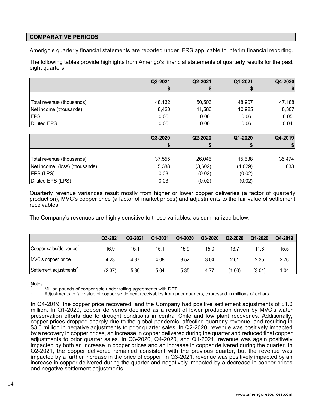## **COMPARATIVE PERIODS**

Amerigo's quarterly financial statements are reported under IFRS applicable to interim financial reporting.

The following tables provide highlights from Amerigo's financial statements of quarterly results for the past eight quarters.

|                           | Q3-2021 | Q2-2021 | Q1-2021 | Q4-2020 |
|---------------------------|---------|---------|---------|---------|
|                           |         |         |         | \$      |
|                           |         |         |         |         |
| Total revenue (thousands) | 48,132  | 50,503  | 48,907  | 47,188  |
| Net income (thousands)    | 8,420   | 11,586  | 10,925  | 8,307   |
| <b>EPS</b>                | 0.05    | 0.06    | 0.06    | 0.05    |
| <b>Diluted EPS</b>        | 0.05    | 0.06    | 0.06    | 0.04    |

|                               | Q3-2020 | Q2-2020 | Q1-2020 | Q4-2019 |
|-------------------------------|---------|---------|---------|---------|
|                               |         |         |         |         |
|                               |         |         |         |         |
|                               |         |         |         |         |
| Total revenue (thousands)     | 37,555  | 26,046  | 15,638  | 35,474  |
| Net income (loss) (thousands) | 5,388   | (3,602) | (4,029) | 633     |
| <b>EPS (LPS)</b>              | 0.03    | (0.02)  | (0.02)  |         |
| Diluted EPS (LPS)             | 0.03    | (0.02)  | (0.02)  |         |

Quarterly revenue variances result mostly from higher or lower copper deliveries (a factor of quarterly production), MVC's copper price (a factor of market prices) and adjustments to the fair value of settlement receivables.

The Company's revenues are highly sensitive to these variables, as summarized below:

|                                     | Q3-2021 | Q2-2021 | Q1-2021 | Q4-2020 | Q3-2020 | Q2-2020 | Q1-2020 | Q4-2019 |
|-------------------------------------|---------|---------|---------|---------|---------|---------|---------|---------|
| Copper sales/deliveries             | 16.9    | 15.1    | 15.1    | 15.9    | 15.0    | 13.7    | 11.8    | 15.5    |
| MVC's copper price                  | 4.23    | 4.37    | 4.08    | 3.52    | 3.04    | 2.61    | 2.35    | 2.76    |
| Settlement adjustments <sup>2</sup> | (2.37)  | 5.30    | 5.04    | 5.35    | 4.77    | 00)     | (3.01)  | 1.04    |

Notes:<br><sup>1</sup> Million pounds of copper sold under tolling agreements with DET.

 $1<sup>2</sup>$  Adjustments to fair value of copper settlement receivables from prior quarters, expressed in millions of dollars.

In Q4-2019, the copper price recovered, and the Company had positive settlement adjustments of \$1.0 million. In Q1-2020, copper deliveries declined as a result of lower production driven by MVC's water preservation efforts due to drought conditions in central Chile and low plant recoveries. Additionally, copper prices dropped sharply due to the global pandemic, affecting quarterly revenue, and resulting in \$3.0 million in negative adjustments to prior quarter sales. In Q2-2020, revenue was positively impacted by a recovery in copper prices, an increase in copper delivered during the quarter and reduced final copper adjustments to prior quarter sales. In Q3-2020, Q4-2020, and Q1-2021, revenue was again positively impacted by both an increase in copper prices and an increase in copper delivered during the quarter. In Q2-2021, the copper delivered remained consistent with the previous quarter, but the revenue was impacted by a further increase in the price of copper. In Q3-2021, revenue was positively impacted by an increase in copper delivered during the quarter and negatively impacted by a decrease in copper prices and negative settlement adjustments.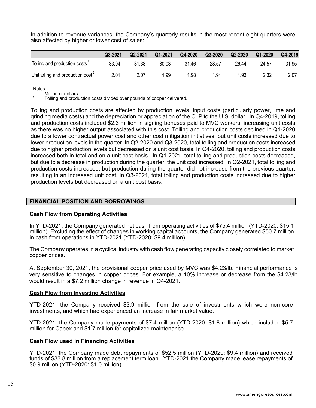In addition to revenue variances, the Company's quarterly results in the most recent eight quarters were also affected by higher or lower cost of sales:

|                                               | Q3-2021 | Q2-2021 | Q1-2021 | Q4-2020 | Q3-2020 | Q2-2020 | Q1-2020 | Q4-2019 |
|-----------------------------------------------|---------|---------|---------|---------|---------|---------|---------|---------|
| Tolling and production costs                  | 33.94   | 31.38   | 30.03   | 31.46   | 28.57   | 26.44   | 24.57   | 31.95   |
| Unit tolling and production cost <sup>2</sup> | 2.01    | 2.07    | .99     | .98     | 1.91    | .93     | 2.32    | 2.07    |

Notes:

 $\frac{1}{2}$  Million of dollars.

2 Tolling and production costs divided over pounds of copper delivered.

Tolling and production costs are affected by production levels, input costs (particularly power, lime and grinding media costs) and the depreciation or appreciation of the CLP to the U.S. dollar. In Q4-2019, tolling and production costs included \$2.3 million in signing bonuses paid to MVC workers, increasing unit costs as there was no higher output associated with this cost. Tolling and production costs declined in Q1-2020 due to a lower contractual power cost and other cost mitigation initiatives, but unit costs increased due to lower production levels in the quarter. In Q2-2020 and Q3-2020, total tolling and production costs increased due to higher production levels but decreased on a unit cost basis. In Q4-2020, tolling and production costs increased both in total and on a unit cost basis. In Q1-2021, total tolling and production costs decreased, but due to a decrease in production during the quarter, the unit cost increased. In Q2-2021, total tolling and production costs increased, but production during the quarter did not increase from the previous quarter, resulting in an increased unit cost. In Q3-2021, total tolling and production costs increased due to higher production levels but decreased on a unit cost basis.

## **FINANCIAL POSITION AND BORROWINGS**

## **Cash Flow from Operating Activities**

In YTD-2021, the Company generated net cash from operating activities of \$75.4 million (YTD-2020: \$15.1 million). Excluding the effect of changes in working capital accounts, the Company generated \$50.7 million in cash from operations in YTD-2021 (YTD-2020: \$9.4 million).

The Company operates in a cyclical industry with cash flow generating capacity closely correlated to market copper prices.

At September 30, 2021, the provisional copper price used by MVC was \$4.23/lb. Financial performance is very sensitive to changes in copper prices. For example, a 10% increase or decrease from the \$4.23/lb would result in a \$7.2 million change in revenue in Q4-2021.

#### **Cash Flow from Investing Activities**

YTD-2021, the Company received \$3.9 million from the sale of investments which were non-core investments, and which had experienced an increase in fair market value.

YTD-2021, the Company made payments of \$7.4 million (YTD-2020: \$1.8 million) which included \$5.7 million for Capex and \$1.7 million for capitalized maintenance.

#### **Cash Flow used in Financing Activities**

YTD-2021, the Company made debt repayments of \$52.5 million (YTD-2020: \$9.4 million) and received funds of \$33.8 million from a replacement term loan. YTD-2021 the Company made lease repayments of \$0.9 million (YTD-2020: \$1.0 million).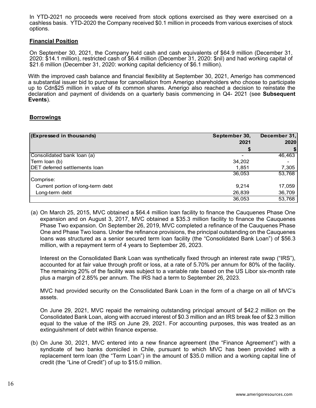In YTD-2021 no proceeds were received from stock options exercised as they were exercised on a cashless basis. YTD-2020 the Company received \$0.1 million in proceeds from various exercises of stock options.

#### **Financial Position**

On September 30, 2021, the Company held cash and cash equivalents of \$64.9 million (December 31, 2020: \$14.1 million), restricted cash of \$6.4 million (December 31, 2020: \$nil) and had working capital of \$21.6 million (December 31, 2020: working capital deficiency of \$6.1 million).

With the improved cash balance and financial flexibility at September 30, 2021, Amerigo has commenced a substantial issuer bid to purchase for cancellation from Amerigo shareholders who choose to participate up to Cdn\$25 million in value of its common shares. Amerigo also reached a decision to reinstate the declaration and payment of dividends on a quarterly basis commencing in Q4- 2021 (see **Subsequent Events**).

#### **Borrowings**

| (Expressed in thousands)          | September 30, | December 31, |  |
|-----------------------------------|---------------|--------------|--|
|                                   | 2021          | 2020         |  |
|                                   |               |              |  |
| Consolidated bank loan (a)        |               | 46,463       |  |
| Term loan (b)                     | 34,202        |              |  |
| DET deferred settlements loan     | 1,851         | 7,305        |  |
|                                   | 36,053        | 53,768       |  |
| Comprise:                         |               |              |  |
| Current portion of long-term debt | 9.214         | 17,059       |  |
| Long-term debt                    | 26,839        | 36,709       |  |
|                                   | 36,053        | 53,768       |  |

(a) On March 25, 2015, MVC obtained a \$64.4 million loan facility to finance the Cauquenes Phase One expansion and on August 3, 2017, MVC obtained a \$35.3 million facility to finance the Cauquenes Phase Two expansion. On September 26, 2019, MVC completed a refinance of the Cauquenes Phase One and Phase Two loans. Under the refinance provisions, the principal outstanding on the Cauquenes loans was structured as a senior secured term loan facility (the "Consolidated Bank Loan") of \$56.3 million, with a repayment term of 4 years to September 26, 2023.

Interest on the Consolidated Bank Loan was synthetically fixed through an interest rate swap ("IRS"), accounted for at fair value through profit or loss, at a rate of 5.70% per annum for 80% of the facility. The remaining 20% of the facility was subject to a variable rate based on the US Libor six-month rate plus a margin of 2.85% per annum. The IRS had a term to September 26, 2023.

MVC had provided security on the Consolidated Bank Loan in the form of a charge on all of MVC's assets.

On June 29, 2021, MVC repaid the remaining outstanding principal amount of \$42.2 million on the Consolidated Bank Loan, along with accrued interest of \$0.3 million and an IRS break fee of \$2.3 million equal to the value of the IRS on June 29, 2021. For accounting purposes, this was treated as an extinguishment of debt within finance expense.

(b) On June 30, 2021, MVC entered into a new finance agreement (the "Finance Agreement") with a syndicate of two banks domiciled in Chile, pursuant to which MVC has been provided with a replacement term loan (the "Term Loan") in the amount of \$35.0 million and a working capital line of credit (the "Line of Credit") of up to \$15.0 million.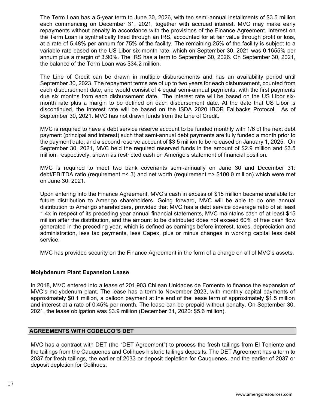The Term Loan has a 5-year term to June 30, 2026, with ten semi-annual installments of \$3.5 million each commencing on December 31, 2021, together with accrued interest. MVC may make early repayments without penalty in accordance with the provisions of the Finance Agreement. Interest on the Term Loan is synthetically fixed through an IRS, accounted for at fair value through profit or loss, at a rate of 5.48% per annum for 75% of the facility. The remaining 25% of the facility is subject to a variable rate based on the US Libor six-month rate, which on September 30, 2021 was 0.1655% per annum plus a margin of 3.90%. The IRS has a term to September 30, 2026. On September 30, 2021, the balance of the Term Loan was \$34.2 million.

The Line of Credit can be drawn in multiple disbursements and has an availability period until September 30, 2023. The repayment terms are of up to two years for each disbursement, counted from each disbursement date, and would consist of 4 equal semi-annual payments, with the first payments due six months from each disbursement date. The interest rate will be based on the US Libor sixmonth rate plus a margin to be defined on each disbursement date. At the date that US Libor is discontinued, the interest rate will be based on the ISDA 2020 IBOR Fallbacks Protocol. As of September 30, 2021, MVC has not drawn funds from the Line of Credit.

MVC is required to have a debt service reserve account to be funded monthly with 1/6 of the next debt payment (principal and interest) such that semi-annual debt payments are fully funded a month prior to the payment date, and a second reserve account of \$3.5 million to be released on January 1, 2025. On September 30, 2021, MVC held the required reserved funds in the amount of \$2.9 million and \$3.5 million, respectively, shown as restricted cash on Amerigo's statement of financial position.

MVC is required to meet two bank covenants semi-annually on June 30 and December 31: debt/EBITDA ratio (requirement =< 3) and net worth (requirement => \$100.0 million) which were met on June 30, 2021.

Upon entering into the Finance Agreement, MVC's cash in excess of \$15 million became available for future distribution to Amerigo shareholders. Going forward, MVC will be able to do one annual distribution to Amerigo shareholders, provided that MVC has a debt service coverage ratio of at least 1.4x in respect of its preceding year annual financial statements, MVC maintains cash of at least \$15 million after the distribution, and the amount to be distributed does not exceed 60% of free cash flow generated in the preceding year, which is defined as earnings before interest, taxes, depreciation and administration, less tax payments, less Capex, plus or minus changes in working capital less debt service.

MVC has provided security on the Finance Agreement in the form of a charge on all of MVC's assets.

## **Molybdenum Plant Expansion Lease**

In 2018, MVC entered into a lease of 201,903 Chilean Unidades de Fomento to finance the expansion of MVC's molybdenum plant. The lease has a term to November 2023, with monthly capital payments of approximately \$0.1 million, a balloon payment at the end of the lease term of approximately \$1.5 million and interest at a rate of 0.45% per month. The lease can be prepaid without penalty. On September 30, 2021, the lease obligation was \$3.9 million (December 31, 2020: \$5.6 million).

## **AGREEMENTS WITH CODELCO'S DET**

MVC has a contract with DET (the "DET Agreement") to process the fresh tailings from El Teniente and the tailings from the Cauquenes and Colihues historic tailings deposits. The DET Agreement has a term to 2037 for fresh tailings, the earlier of 2033 or deposit depletion for Cauquenes, and the earlier of 2037 or deposit depletion for Colihues.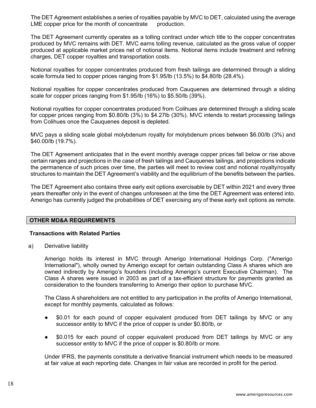The DET Agreement establishes a series of royalties payable by MVC to DET, calculated using the average LME copper price for the month of concentrate production.

The DET Agreement currently operates as a tolling contract under which title to the copper concentrates produced by MVC remains with DET. MVC earns tolling revenue, calculated as the gross value of copper produced at applicable market prices net of notional items. Notional items include treatment and refining charges, DET copper royalties and transportation costs.

Notional royalties for copper concentrates produced from fresh tailings are determined through a sliding scale formula tied to copper prices ranging from \$1.95/lb (13.5%) to \$4.80/lb (28.4%).

Notional royalties for copper concentrates produced from Cauquenes are determined through a sliding scale for copper prices ranging from \$1.95/lb (16%) to \$5.50/lb (39%).

Notional royalties for copper concentrates produced from Colihues are determined through a sliding scale for copper prices ranging from \$0.80/lb (3%) to \$4.27lb (30%). MVC intends to restart processing tailings from Colihues once the Cauquenes deposit is depleted.

MVC pays a sliding scale global molybdenum royalty for molybdenum prices between \$6.00/lb (3%) and \$40.00/lb (19.7%).

The DET Agreement anticipates that in the event monthly average copper prices fall below or rise above certain ranges and projections in the case of fresh tailings and Cauquenes tailings, and projections indicate the permanence of such prices over time, the parties will meet to review cost and notional royalty/royalty structures to maintain the DET Agreement's viability and the equilibrium of the benefits between the parties.

The DET Agreement also contains three early exit options exercisable by DET within 2021 and every three years thereafter only in the event of changes unforeseen at the time the DET Agreement was entered into. Amerigo has currently judged the probabilities of DET exercising any of these early exit options as remote.

#### **OTHER MD&A REQUIREMENTS**

#### **Transactions with Related Parties**

a) Derivative liability

Amerigo holds its interest in MVC through Amerigo International Holdings Corp. ("Amerigo International"), wholly owned by Amerigo except for certain outstanding Class A shares which are owned indirectly by Amerigo's founders (including Amerigo's current Executive Chairman). The Class A shares were issued in 2003 as part of a tax-efficient structure for payments granted as consideration to the founders transferring to Amerigo their option to purchase MVC.

The Class A shareholders are not entitled to any participation in the profits of Amerigo International, except for monthly payments, calculated as follows:

- \$0.01 for each pound of copper equivalent produced from DET tailings by MVC or any successor entity to MVC if the price of copper is under \$0.80/lb, or
- \$0.015 for each pound of copper equivalent produced from DET tailings by MVC or any successor entity to MVC if the price of copper is \$0.80/lb or more.

Under IFRS, the payments constitute a derivative financial instrument which needs to be measured at fair value at each reporting date. Changes in fair value are recorded in profit for the period.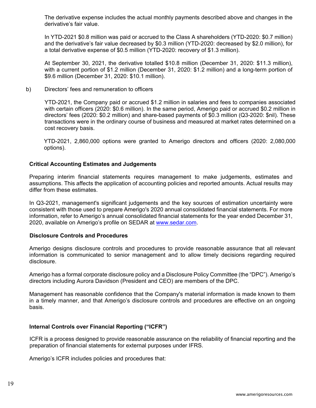The derivative expense includes the actual monthly payments described above and changes in the derivative's fair value.

In YTD-2021 \$0.8 million was paid or accrued to the Class A shareholders (YTD-2020: \$0.7 million) and the derivative's fair value decreased by \$0.3 million (YTD-2020: decreased by \$2.0 million), for a total derivative expense of \$0.5 million (YTD-2020: recovery of \$1.3 million).

At September 30, 2021, the derivative totalled \$10.8 million (December 31, 2020: \$11.3 million), with a current portion of \$1.2 million (December 31, 2020: \$1.2 million) and a long-term portion of \$9.6 million (December 31, 2020: \$10.1 million).

b) Directors' fees and remuneration to officers

 YTD-2021, the Company paid or accrued \$1.2 million in salaries and fees to companies associated with certain officers (2020: \$0.6 million). In the same period, Amerigo paid or accrued \$0.2 million in directors' fees (2020: \$0.2 million) and share-based payments of \$0.3 million (Q3-2020: \$nil). These transactions were in the ordinary course of business and measured at market rates determined on a cost recovery basis.

YTD-2021, 2,860,000 options were granted to Amerigo directors and officers (2020: 2,080,000 options).

## **Critical Accounting Estimates and Judgements**

Preparing interim financial statements requires management to make judgements, estimates and assumptions. This affects the application of accounting policies and reported amounts. Actual results may differ from these estimates.

In Q3-2021, management's significant judgements and the key sources of estimation uncertainty were consistent with those used to prepare Amerigo's 2020 annual consolidated financial statements. For more information, refer to Amerigo's annual consolidated financial statements for the year ended December 31, 2020, available on Amerigo's profile on SEDAR at www.sedar.com.

## **Disclosure Controls and Procedures**

Amerigo designs disclosure controls and procedures to provide reasonable assurance that all relevant information is communicated to senior management and to allow timely decisions regarding required disclosure.

Amerigo has a formal corporate disclosure policy and a Disclosure Policy Committee (the "DPC"). Amerigo's directors including Aurora Davidson (President and CEO) are members of the DPC.

Management has reasonable confidence that the Company's material information is made known to them in a timely manner, and that Amerigo's disclosure controls and procedures are effective on an ongoing basis.

## **Internal Controls over Financial Reporting ("ICFR")**

ICFR is a process designed to provide reasonable assurance on the reliability of financial reporting and the preparation of financial statements for external purposes under IFRS.

Amerigo's ICFR includes policies and procedures that: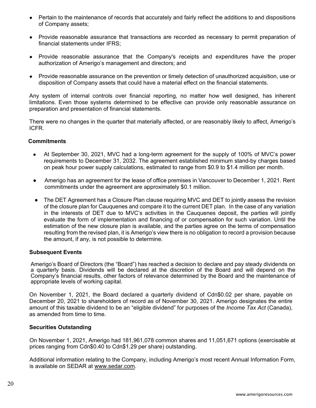- Pertain to the maintenance of records that accurately and fairly reflect the additions to and dispositions of Company assets;
- Provide reasonable assurance that transactions are recorded as necessary to permit preparation of financial statements under IFRS;
- Provide reasonable assurance that the Company's receipts and expenditures have the proper authorization of Amerigo's management and directors; and
- Provide reasonable assurance on the prevention or timely detection of unauthorized acquisition, use or disposition of Company assets that could have a material effect on the financial statements.

Any system of internal controls over financial reporting, no matter how well designed, has inherent limitations. Even those systems determined to be effective can provide only reasonable assurance on preparation and presentation of financial statements.

There were no changes in the quarter that materially affected, or are reasonably likely to affect, Amerigo's ICFR.

#### **Commitments**

- At September 30, 2021, MVC had a long-term agreement for the supply of 100% of MVC's power requirements to December 31, 2032. The agreement established minimum stand-by charges based on peak hour power supply calculations, estimated to range from \$0.9 to \$1.4 million per month.
- Amerigo has an agreement for the lease of office premises in Vancouver to December 1, 2021. Rent commitments under the agreement are approximately \$0.1 million.
- The DET Agreement has a Closure Plan clause requiring MVC and DET to jointly assess the revision of the closure plan for Cauquenes and compare it to the current DET plan. In the case of any variation in the interests of DET due to MVC's activities in the Cauquenes deposit, the parties will jointly evaluate the form of implementation and financing of or compensation for such variation. Until the estimation of the new closure plan is available, and the parties agree on the terms of compensation resulting from the revised plan, it is Amerigo's view there is no obligation to record a provision because the amount, if any, is not possible to determine.

#### **Subsequent Events**

Amerigo's Board of Directors (the "Board") has reached a decision to declare and pay steady dividends on a quarterly basis. Dividends will be declared at the discretion of the Board and will depend on the Company's financial results, other factors of relevance determined by the Board and the maintenance of appropriate levels of working capital.

On November 1, 2021, the Board declared a quarterly dividend of Cdn\$0.02 per share, payable on December 20, 2021 to shareholders of record as of November 30, 2021. Amerigo designates the entire amount of this taxable dividend to be an "eligible dividend" for purposes of the *Income Tax Act* (Canada), as amended from time to time.

#### **Securities Outstanding**

On November 1, 2021, Amerigo had 181,961,078 common shares and 11,051,671 options (exercisable at prices ranging from Cdn\$0.40 to Cdn\$1.29 per share) outstanding.

Additional information relating to the Company, including Amerigo's most recent Annual Information Form, is available on SEDAR at www.sedar.com.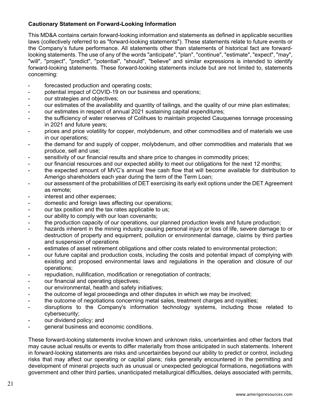# **Cautionary Statement on Forward-Looking Information**

This MD&A contains certain forward-looking information and statements as defined in applicable securities laws (collectively referred to as "forward-looking statements"). These statements relate to future events or the Company's future performance. All statements other than statements of historical fact are forwardlooking statements. The use of any of the words "anticipate", "plan", "continue", "estimate", "expect", "may", "will", "project", "predict", "potential", "should", "believe" and similar expressions is intended to identify forward-looking statements. These forward-looking statements include but are not limited to, statements concerning:

- forecasted production and operating costs;
- potential impact of COVID-19 on our business and operations;
- our strategies and objectives;
- our estimates of the availability and quantity of tailings, and the quality of our mine plan estimates;
- our estimates in respect of annual 2021 sustaining capital expenditures;
- the sufficiency of water reserves of Colihues to maintain projected Cauquenes tonnage processing in 2021 and future years;
- prices and price volatility for copper, molybdenum, and other commodities and of materials we use in our operations;
- the demand for and supply of copper, molybdenum, and other commodities and materials that we produce, sell and use;
- sensitivity of our financial results and share price to changes in commodity prices;
- our financial resources and our expected ability to meet our obligations for the next 12 months;
- the expected amount of MVC's annual free cash flow that will become available for distribution to Amerigo shareholders each year during the term of the Term Loan;
- our assessment of the probabilities of DET exercising its early exit options under the DET Agreement as remote;
- interest and other expenses;
- domestic and foreign laws affecting our operations;
- our tax position and the tax rates applicable to us;
- our ability to comply with our loan covenants;
- the production capacity of our operations, our planned production levels and future production;
- hazards inherent in the mining industry causing personal injury or loss of life, severe damage to or destruction of property and equipment, pollution or environmental damage, claims by third parties and suspension of operations
- estimates of asset retirement obligations and other costs related to environmental protection;
- our future capital and production costs, including the costs and potential impact of complying with existing and proposed environmental laws and regulations in the operation and closure of our operations;
- repudiation, nullification, modification or renegotiation of contracts;
- our financial and operating objectives;
- our environmental, health and safety initiatives;
- the outcome of legal proceedings and other disputes in which we may be involved;
- the outcome of negotiations concerning metal sales, treatment charges and royalties;
- disruptions to the Company's information technology systems, including those related to cybersecurity;
- our dividend policy; and
- general business and economic conditions.

These forward-looking statements involve known and unknown risks, uncertainties and other factors that may cause actual results or events to differ materially from those anticipated in such statements. Inherent in forward-looking statements are risks and uncertainties beyond our ability to predict or control, including risks that may affect our operating or capital plans; risks generally encountered in the permitting and development of mineral projects such as unusual or unexpected geological formations, negotiations with government and other third parties, unanticipated metallurgical difficulties, delays associated with permits,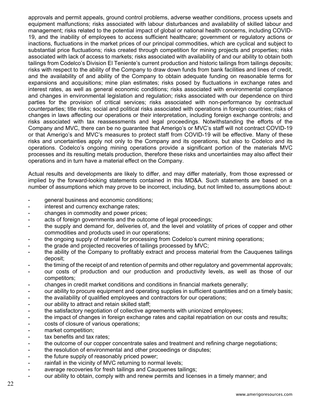approvals and permit appeals, ground control problems, adverse weather conditions, process upsets and equipment malfunctions; risks associated with labour disturbances and availability of skilled labour and management; risks related to the potential impact of global or national health concerns, including COVID-19, and the inability of employees to access sufficient healthcare; government or regulatory actions or inactions, fluctuations in the market prices of our principal commodities, which are cyclical and subject to substantial price fluctuations; risks created through competition for mining projects and properties; risks associated with lack of access to markets; risks associated with availability of and our ability to obtain both tailings from Codelco's Division El Teniente's current production and historic tailings from tailings deposits; risks with respect to the ability of the Company to draw down funds from bank facilities and lines of credit, and the availability of and ability of the Company to obtain adequate funding on reasonable terms for expansions and acquisitions; mine plan estimates; risks posed by fluctuations in exchange rates and interest rates, as well as general economic conditions; risks associated with environmental compliance and changes in environmental legislation and regulation; risks associated with our dependence on third parties for the provision of critical services; risks associated with non-performance by contractual counterparties; title risks; social and political risks associated with operations in foreign countries; risks of changes in laws affecting our operations or their interpretation, including foreign exchange controls; and risks associated with tax reassessments and legal proceedings. Notwithstanding the efforts of the Company and MVC, there can be no guarantee that Amerigo's or MVC's staff will not contract COVID-19 or that Amerigo's and MVC's measures to protect staff from COVID-19 will be effective. Many of these risks and uncertainties apply not only to the Company and its operations, but also to Codelco and its operations. Codelco's ongoing mining operations provide a significant portion of the materials MVC processes and its resulting metals production, therefore these risks and uncertainties may also affect their operations and in turn have a material effect on the Company.

Actual results and developments are likely to differ, and may differ materially, from those expressed or implied by the forward-looking statements contained in this MD&A. Such statements are based on a number of assumptions which may prove to be incorrect, including, but not limited to, assumptions about:

- general business and economic conditions;
- interest and currency exchange rates;
- changes in commodity and power prices;
- acts of foreign governments and the outcome of legal proceedings;
- the supply and demand for, deliveries of, and the level and volatility of prices of copper and other commodities and products used in our operations;
- the ongoing supply of material for processing from Codelco's current mining operations;
- the grade and projected recoveries of tailings processed by MVC;
- the ability of the Company to profitably extract and process material from the Cauquenes tailings deposit;
- the timing of the receipt of and retention of permits and other regulatory and governmental approvals;
- our costs of production and our production and productivity levels, as well as those of our competitors;
- changes in credit market conditions and conditions in financial markets generally;
- our ability to procure equipment and operating supplies in sufficient quantities and on a timely basis;
- the availability of qualified employees and contractors for our operations;
- our ability to attract and retain skilled staff;
- the satisfactory negotiation of collective agreements with unionized employees;
- the impact of changes in foreign exchange rates and capital repatriation on our costs and results;
- costs of closure of various operations;
- market competition:
- tax benefits and tax rates:
- the outcome of our copper concentrate sales and treatment and refining charge negotiations;
- the resolution of environmental and other proceedings or disputes;
- the future supply of reasonably priced power;
- rainfall in the vicinity of MVC returning to normal levels;
- average recoveries for fresh tailings and Cauquenes tailings;
- our ability to obtain, comply with and renew permits and licenses in a timely manner; and